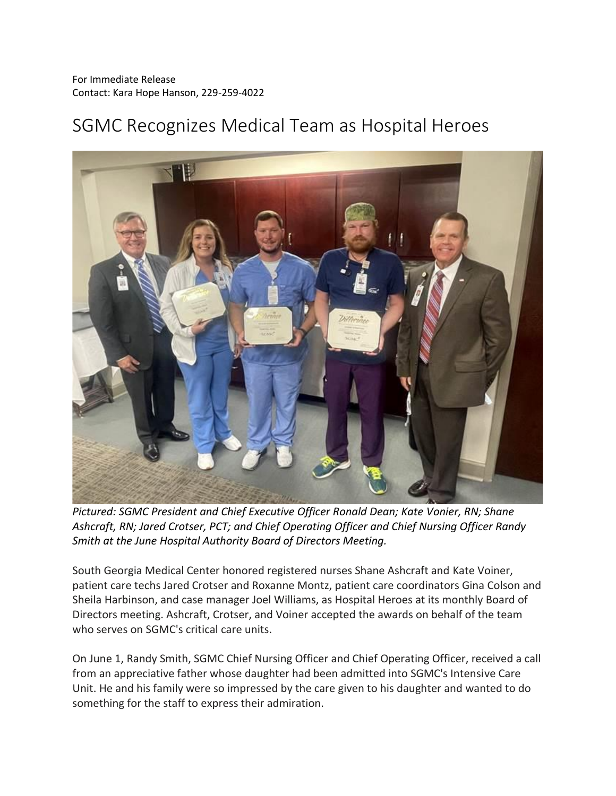## SGMC Recognizes Medical Team as Hospital Heroes



*Pictured: SGMC President and Chief Executive Officer Ronald Dean; Kate Vonier, RN; Shane Ashcraft, RN; Jared Crotser, PCT; and Chief Operating Officer and Chief Nursing Officer Randy Smith at the June Hospital Authority Board of Directors Meeting.*

South Georgia Medical Center honored registered nurses Shane Ashcraft and Kate Voiner, patient care techs Jared Crotser and Roxanne Montz, patient care coordinators Gina Colson and Sheila Harbinson, and case manager Joel Williams, as Hospital Heroes at its monthly Board of Directors meeting. Ashcraft, Crotser, and Voiner accepted the awards on behalf of the team who serves on SGMC's critical care units.

On June 1, Randy Smith, SGMC Chief Nursing Officer and Chief Operating Officer, received a call from an appreciative father whose daughter had been admitted into SGMC's Intensive Care Unit. He and his family were so impressed by the care given to his daughter and wanted to do something for the staff to express their admiration.